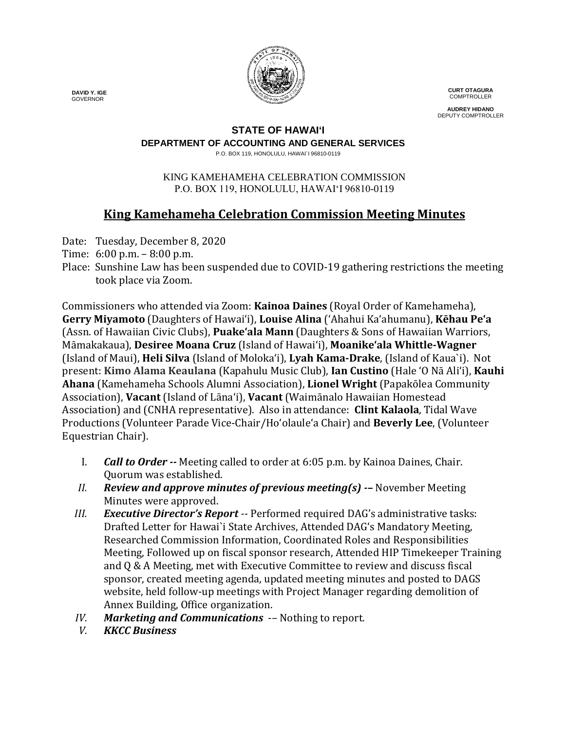

**CURT OTAGURA COMPTROLLER** 

**AUDREY HIDANO** DEPUTY COMPTROLLER

## **STATE OF HAWAI'I**

**DEPARTMENT OF ACCOUNTING AND GENERAL SERVICES**

P.O. BOX 119, HONOLULU, HAWAI`I 96810-0119

#### KING KAMEHAMEHA CELEBRATION COMMISSION P.O. BOX 119, HONOLULU, HAWAIʻI 96810-0119

# **King Kamehameha Celebration Commission Meeting Minutes**

Date: Tuesday, December 8, 2020

- Time: 6:00 p.m. 8:00 p.m.
- Place: Sunshine Law has been suspended due to COVID-19 gathering restrictions the meeting took place via Zoom.

Commissioners who attended via Zoom: **Kainoa Daines** (Royal Order of Kamehameha), **Gerry Miyamoto** (Daughters of Hawai'i), **Louise Alina** ('Ahahui Ka'ahumanu), **Kēhau Pe'a** (Assn. of Hawaiian Civic Clubs), **Puake'ala Mann** (Daughters & Sons of Hawaiian Warriors, Māmakakaua), **Desiree Moana Cruz** (Island of Hawai'i), **Moanike'ala Whittle-Wagner** (Island of Maui), **Heli Silva** (Island of Molokaʻi), **Lyah Kama-Drake**, (Island of Kaua`i). Not present: **Kimo Alama Keaulana** (Kapahulu Music Club), **Ian Custino** (Hale 'O Nā Ali'i), **Kauhi Ahana** (Kamehameha Schools Alumni Association), **Lionel Wright** (Papakōlea Community Association), **Vacant** (Island of Lāna'i), **Vacant** (Waimānalo Hawaiian Homestead Association) and (CNHA representative). Also in attendance: **Clint Kalaola**, Tidal Wave Productions (Volunteer Parade Vice-Chair/Ho'olaule'a Chair) and **Beverly Lee**, (Volunteer Equestrian Chair).

- I. *Call to Order --* Meeting called to order at 6:05 p.m. by Kainoa Daines, Chair. Quorum was established.
- *II. Review and approve minutes of previous meeting(s) -–* November Meeting Minutes were approved.
- *III. Executive Director's Report --* Performed required DAG's administrative tasks: Drafted Letter for Hawai`i State Archives, Attended DAGʻs Mandatory Meeting, Researched Commission Information, Coordinated Roles and Responsibilities Meeting, Followed up on fiscal sponsor research, Attended HIP Timekeeper Training and Q & A Meeting, met with Executive Committee to review and discuss fiscal sponsor, created meeting agenda, updated meeting minutes and posted to DAGS website, held follow-up meetings with Project Manager regarding demolition of Annex Building, Office organization.
- *IV. Marketing and Communications* -- Nothing to report.<br>*V. KKCC Business*
- *V. KKCC Business*

 **DAVID Y. IGE** GOVERNOR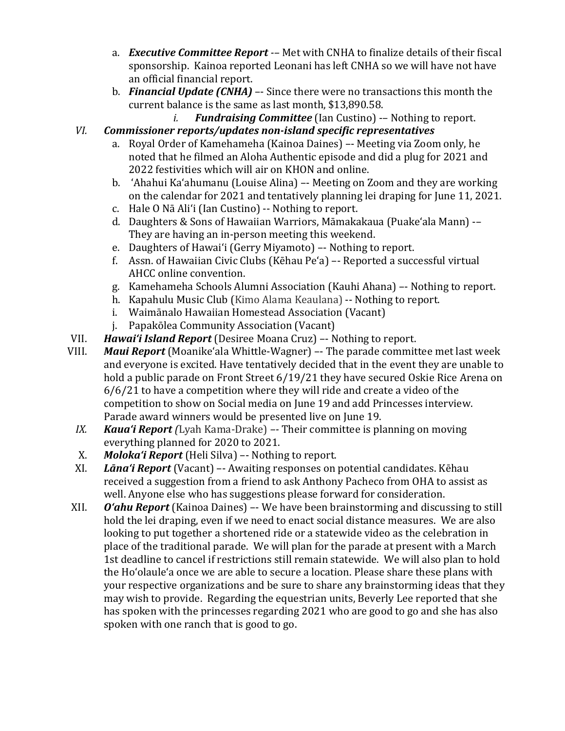- a. *Executive Committee Report -–* Met with CNHA to finalize details of their fiscal sponsorship. Kainoa reported Leonani has left CNHA so we will have not have an official financial report.
- b. *Financial Update (CNHA)* –- Since there were no transactions this month the current balance is the same as last month, \$13,890.58.<br>*i.* **Fundraising Committee** (Ian Custino) --
	- *Fundraising Committee* (Ian Custino) -– Nothing to report.

# *VI. Commissioner reports/updates non-island specific representatives*

- a. Royal Order of Kamehameha (Kainoa Daines) –- Meeting via Zoom only, he noted that he filmed an Aloha Authentic episode and did a plug for 2021 and 2022 festivities which will air on KHON and online.
- b. 'Ahahui Ka'ahumanu (Louise Alina) –- Meeting on Zoom and they are working on the calendar for 2021 and tentatively planning lei draping for June 11, 2021.
- c. Hale O Nā Ali'i (Ian Custino) -- Nothing to report.
- d. Daughters & Sons of Hawaiian Warriors, Māmakakaua (Puake'ala Mann) -– They are having an in-person meeting this weekend.
- e. Daughters of Hawai'i (Gerry Miyamoto) –- Nothing to report.
- f. Assn. of Hawaiian Civic Clubs (Kēhau Pe'a) –- Reported a successful virtual AHCC online convention.
- g. Kamehameha Schools Alumni Association (Kauhi Ahana) –- Nothing to report.
- h. Kapahulu Music Club (Kimo Alama Keaulana) -- Nothing to report.
- i. Waimānalo Hawaiian Homestead Association (Vacant)
- j. Papakōlea Community Association (Vacant)
- VII. *Hawai'i Island Report* (Desiree Moana Cruz) –- Nothing to report.
- **Maui Report** (Moanike'ala Whittle-Wagner) –- The parade committee met last week and everyone is excited. Have tentatively decided that in the event they are unable to hold a public parade on Front Street 6/19/21 they have secured Oskie Rice Arena on 6/6/21 to have a competition where they will ride and create a video of the competition to show on Social media on June 19 and add Princesses interview. Parade award winners would be presented live on June 19.
	- *IX. Kaua'i Report (*Lyah Kama-Drake) *–-* Their committee is planning on moving everything planned for 2020 to 2021.
	- X. *Moloka'i Report* (Heli Silva) –- Nothing to report.
	- **Lāna'i Report** (Vacant) Awaiting responses on potential candidates. Kēhau received a suggestion from a friend to ask Anthony Pacheco from OHA to assist as well. Anyone else who has suggestions please forward for consideration.
- XII. *O'ahu Report* (Kainoa Daines) –- We have been brainstorming and discussing to still hold the lei draping, even if we need to enact social distance measures. We are also looking to put together a shortened ride or a statewide video as the celebration in place of the traditional parade. We will plan for the parade at present with a March 1st deadline to cancel if restrictions still remain statewide. We will also plan to hold the Ho'olaule'a once we are able to secure a location. Please share these plans with your respective organizations and be sure to share any brainstorming ideas that they may wish to provide. Regarding the equestrian units, Beverly Lee reported that she has spoken with the princesses regarding 2021 who are good to go and she has also spoken with one ranch that is good to go.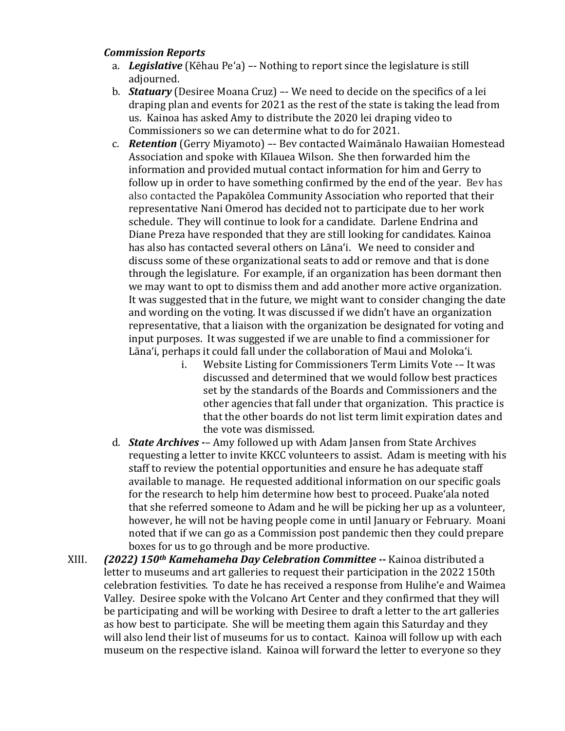### *Commission Reports*

- a. *Legislative* (Kēhau Pe'a) –- Nothing to report since the legislature is still adjourned.
- b. *Statuary* (Desiree Moana Cruz) –- We need to decide on the specifics of a lei draping plan and events for 2021 as the rest of the state is taking the lead from us. Kainoa has asked Amy to distribute the 2020 lei draping video to Commissioners so we can determine what to do for 2021.
- c. *Retention* (Gerry Miyamoto) –- Bev contacted Waimānalo Hawaiian Homestead Association and spoke with Kīlauea Wilson. She then forwarded him the information and provided mutual contact information for him and Gerry to follow up in order to have something confirmed by the end of the year. Bev has also contacted the Papakōlea Community Association who reported that their representative Nani Omerod has decided not to participate due to her work schedule. They will continue to look for a candidate. Darlene Endrina and Diane Preza have responded that they are still looking for candidates. Kainoa has also has contacted several others on Lāna'i. We need to consider and discuss some of these organizational seats to add or remove and that is done through the legislature. For example, if an organization has been dormant then we may want to opt to dismiss them and add another more active organization. It was suggested that in the future, we might want to consider changing the date and wording on the voting. It was discussed if we didn't have an organization representative, that a liaison with the organization be designated for voting and input purposes. It was suggested if we are unable to find a commissioner for Lāna'i, perhaps it could fall under the collaboration of Maui and Moloka'i.
	- Website Listing for Commissioners Term Limits Vote -- It was discussed and determined that we would follow best practices set by the standards of the Boards and Commissioners and the other agencies that fall under that organization. This practice is that the other boards do not list term limit expiration dates and the vote was dismissed.
- d. *State Archives -* Amy followed up with Adam Jansen from State Archives requesting a letter to invite KKCC volunteers to assist. Adam is meeting with his staff to review the potential opportunities and ensure he has adequate staff available to manage. He requested additional information on our specific goals for the research to help him determine how best to proceed. Puake'ala noted that she referred someone to Adam and he will be picking her up as a volunteer, however, he will not be having people come in until January or February. Moani noted that if we can go as a Commission post pandemic then they could prepare boxes for us to go through and be more productive.
- XIII. *(2022) 150th Kamehameha Day Celebration Committee* **--** Kainoa distributed a letter to museums and art galleries to request their participation in the 2022 150th celebration festivities. To date he has received a response from Hulihe'e and Waimea Valley. Desiree spoke with the Volcano Art Center and they confirmed that they will be participating and will be working with Desiree to draft a letter to the art galleries as how best to participate. She will be meeting them again this Saturday and they will also lend their list of museums for us to contact. Kainoa will follow up with each museum on the respective island. Kainoa will forward the letter to everyone so they